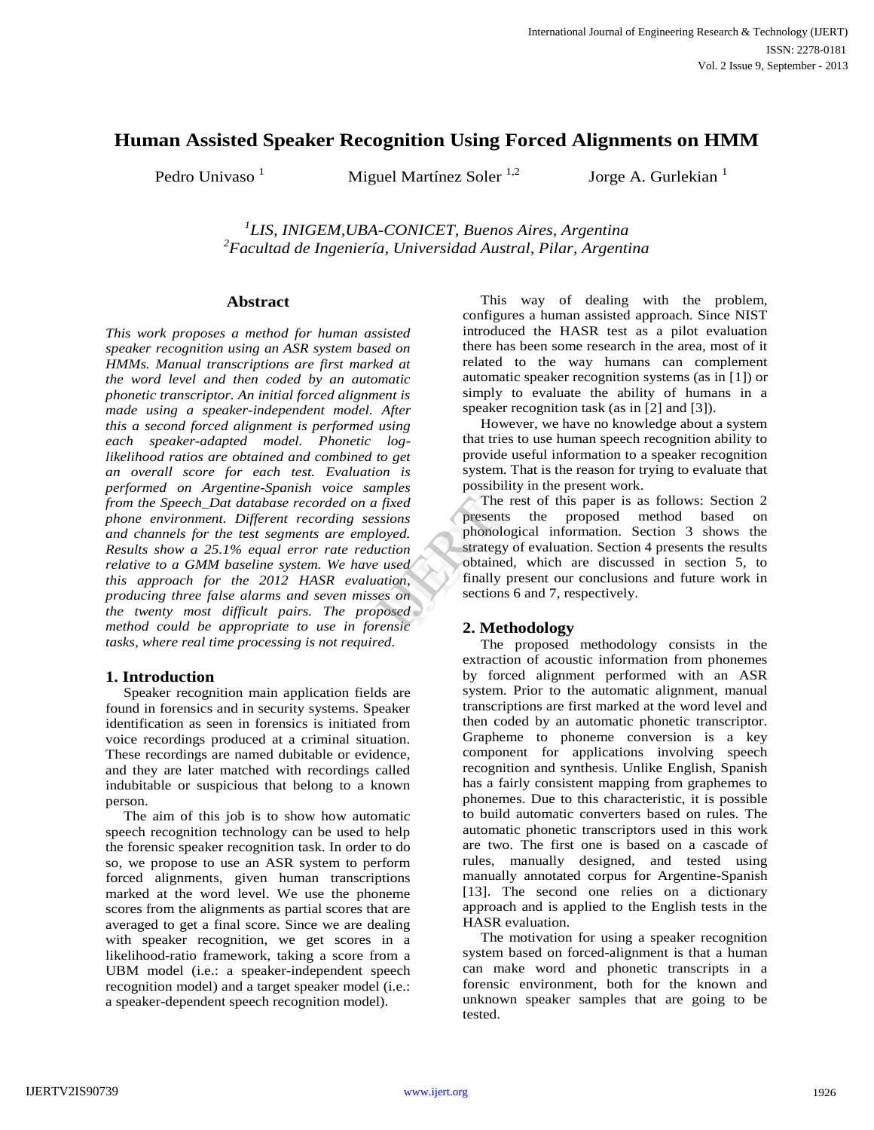# **Human Assisted Speaker Recognition Using Forced Alignments on HMM**

Pedro Univaso  $1$  Miguel Martínez Soler  $1,2$  Jorge A. Gurlekian  $1$ 

*1 LIS, INIGEM,UBA-CONICET, Buenos Aires, Argentina <sup>2</sup>Facultad de Ingeniería, Universidad Austral, Pilar, Argentina*

# **Abstract**

*This work proposes a method for human assisted speaker recognition using an ASR system based on HMMs. Manual transcriptions are first marked at the word level and then coded by an automatic phonetic transcriptor. An initial forced alignment is made using a speaker-independent model. After this a second forced alignment is performed using each speaker-adapted model. Phonetic loglikelihood ratios are obtained and combined to get an overall score for each test. Evaluation is performed on Argentine-Spanish voice samples from the Speech\_Dat database recorded on a fixed phone environment. Different recording sessions and channels for the test segments are employed. Results show a 25.1% equal error rate reduction relative to a GMM baseline system. We have used this approach for the 2012 HASR evaluation, producing three false alarms and seven misses on the twenty most difficult pairs. The proposed method could be appropriate to use in forensic tasks, where real time processing is not required.*

# **1. Introduction**

Speaker recognition main application fields are found in forensics and in security systems. Speaker identification as seen in forensics is initiated from voice recordings produced at a criminal situation. These recordings are named dubitable or evidence, and they are later matched with recordings called indubitable or suspicious that belong to a known person.

The aim of this job is to show how automatic speech recognition technology can be used to help the forensic speaker recognition task. In order to do so, we propose to use an ASR system to perform forced alignments, given human transcriptions marked at the word level. We use the phoneme scores from the alignments as partial scores that are averaged to get a final score. Since we are dealing with speaker recognition, we get scores in a likelihood-ratio framework, taking a score from a UBM model (i.e.: a speaker-independent speech recognition model) and a target speaker model (i.e.: a speaker-dependent speech recognition model).

This way of dealing with the problem, configures a human assisted approach. Since NIST introduced the HASR test as a pilot evaluation there has been some research in the area, most of it related to the way humans can complement automatic speaker recognition systems (as in [1]) or simply to evaluate the ability of humans in a speaker recognition task (as in [2] and [3]).

However, we have no knowledge about a system that tries to use human speech recognition ability to provide useful information to a speaker recognition system. That is the reason for trying to evaluate that possibility in the present work.

The rest of this paper is as follows: Section 2 presents the proposed method based on phonological information. Section 3 shows the strategy of evaluation. Section 4 presents the results obtained, which are discussed in section 5, to finally present our conclusions and future work in sections 6 and 7, respectively. Fixed<br>
ISRN The research<br>
Sead obtained,<br>
Finally presents<br>
Sead obtained,<br>
Finally presents<br>
Sead obtained,<br>
Sead obtained,<br>
Sead obtained,<br>
Sead obtained,<br>
Sead obtained,<br>
Sead obtained,<br>
Sead obtained,<br>
Sead obtained,<br>

# **2. Methodology**

The proposed methodology consists in the extraction of acoustic information from phonemes by forced alignment performed with an ASR system. Prior to the automatic alignment, manual transcriptions are first marked at the word level and then coded by an automatic phonetic transcriptor. Grapheme to phoneme conversion is a key component for applications involving speech recognition and synthesis. Unlike English, Spanish has a fairly consistent mapping from graphemes to phonemes. Due to this characteristic, it is possible to build automatic converters based on rules. The automatic phonetic transcriptors used in this work are two. The first one is based on a cascade of rules, manually designed, and tested using manually annotated corpus for Argentine-Spanish [13]. The second one relies on a dictionary approach and is applied to the English tests in the HASR evaluation.

The motivation for using a speaker recognition system based on forced-alignment is that a human can make word and phonetic transcripts in a forensic environment, both for the known and unknown speaker samples that are going to be tested.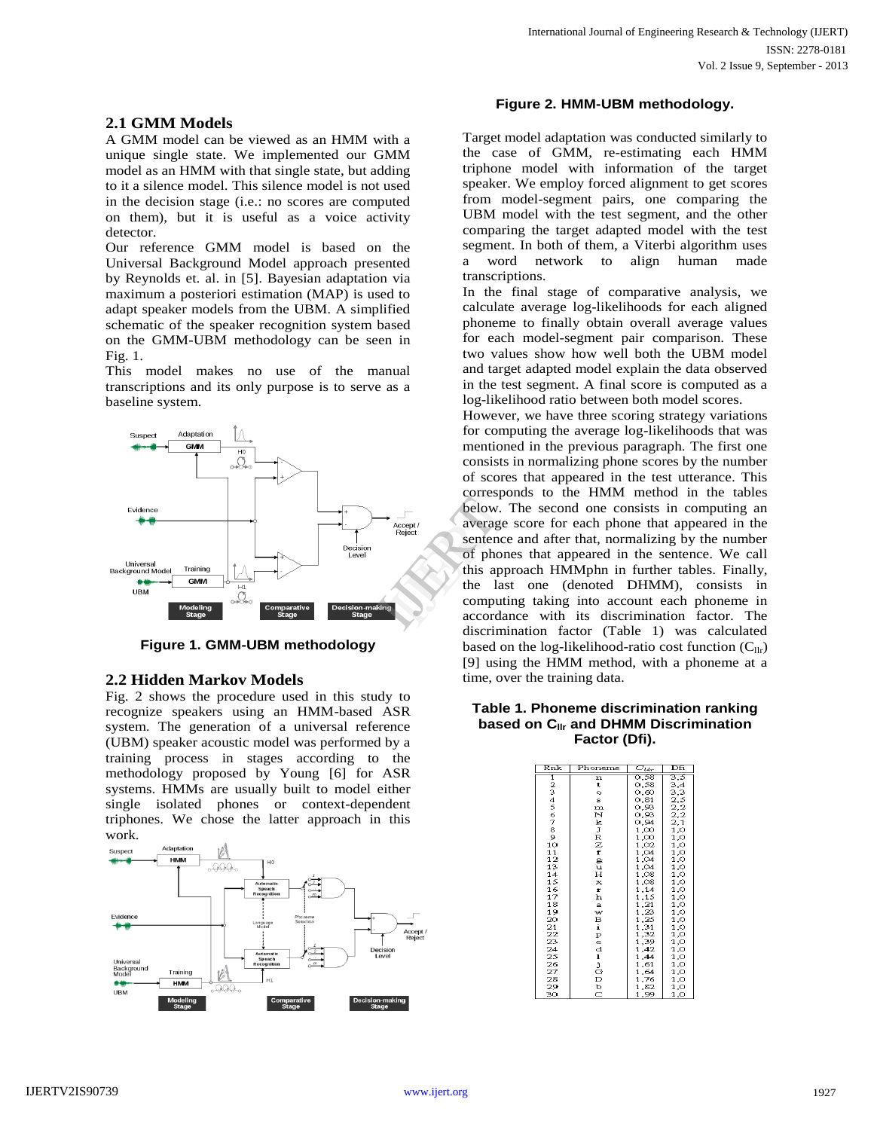#### **2.1 GMM Models**

A GMM model can be viewed as an HMM with a unique single state. We implemented our GMM model as an HMM with that single state, but adding to it a silence model. This silence model is not used in the decision stage (i.e.: no scores are computed on them), but it is useful as a voice activity detector.

Our reference GMM model is based on the Universal Background Model approach presented by Reynolds et. al. in [5]. Bayesian adaptation via maximum a posteriori estimation (MAP) is used to adapt speaker models from the UBM. A simplified schematic of the speaker recognition system based on the GMM-UBM methodology can be seen in Fig. 1.

This model makes no use of the manual transcriptions and its only purpose is to serve as a baseline system.



**Figure 1. GMM-UBM methodology**

# **2.2 Hidden Markov Models**

Fig. 2 shows the procedure used in this study to recognize speakers using an HMM-based ASR system. The generation of a universal reference (UBM) speaker acoustic model was performed by a training process in stages according to the methodology proposed by Young [6] for ASR systems. HMMs are usually built to model either single isolated phones or context-dependent triphones. We chose the latter approach in this work.



#### **Figure 2. HMM-UBM methodology.**

Target model adaptation was conducted similarly to the case of GMM, re-estimating each HMM triphone model with information of the target speaker. We employ forced alignment to get scores from model-segment pairs, one comparing the UBM model with the test segment, and the other comparing the target adapted model with the test segment. In both of them, a Viterbi algorithm uses a word network to align human made transcriptions.

In the final stage of comparative analysis, we calculate average log-likelihoods for each aligned phoneme to finally obtain overall average values for each model-segment pair comparison. These two values show how well both the UBM model and target adapted model explain the data observed in the test segment. A final score is computed as a log-likelihood ratio between both model scores.

However, we have three scoring strategy variations for computing the average log-likelihoods that was mentioned in the previous paragraph. The first one consists in normalizing phone scores by the number of scores that appeared in the test utterance. This corresponds to the HMM method in the tables below. The second one consists in computing an average score for each phone that appeared in the sentence and after that, normalizing by the number of phones that appeared in the sentence. We call this approach HMMphn in further tables. Finally, the last one (denoted DHMM), consists in computing taking into account each phoneme in accordance with its discrimination factor. The discrimination factor (Table 1) was calculated based on the log-likelihood-ratio cost function  $(C_{\text{llr}})$ [9] using the HMM method, with a phoneme at a time, over the training data. Correspondent and the last<br>
The correspondence and of phones<br>
this appropriate that computing<br>
accordance and computing<br>
accordance

#### **Table 1. Phoneme discrimination ranking based on Cllr and DHMM Discrimination Factor (Dfi).**

| Rnk           | Phoneme                 | $\overline{C_{l t_2}}$ | Dfi |
|---------------|-------------------------|------------------------|-----|
| 1             | $\overline{\mathbf{n}}$ | 0.58                   | 3,5 |
|               | t                       | 0.58                   | 3,4 |
| $\frac{2}{3}$ | o                       | 0,60                   | 3,3 |
|               | s                       | 0,81                   | 2,5 |
| 4567          | $\mathbf m$             | 0,93                   | 2,2 |
|               | N                       | 0,93                   | 2,2 |
|               | k                       | 0,94                   | 2,1 |
| $^{\rm 8}$    | J                       | 1,00                   | 1,0 |
| 9             | R                       | 1,00                   | 1,0 |
| 10            | z                       | 1,02                   | 1,0 |
| 11            | f                       | 1,04                   | 1,0 |
| 12            | g                       | 1,04                   | 1,0 |
| 13            | u                       | 1,04                   | 1,0 |
| 14            | Н                       | 1,08                   | 1,0 |
| 15            | x                       | 1,08                   | 1,0 |
| 16            | r                       | 1,14                   | 1,0 |
| 17            | h                       | 1,15                   | 1,0 |
| 18            | a                       | 1,21                   | 1,0 |
| 19            | w                       | 1,23                   | 1,0 |
| 20            | B<br>i                  | 1,25                   | 1,0 |
| 21            |                         | 1,31                   | 1,0 |
| 22            |                         | 1,32                   | 1,0 |
| 23            |                         | 1,39                   | 1,0 |
| 24            |                         | 1,42                   | 1,0 |
| 25            |                         | 1,44                   | 1,0 |
| 26            |                         | 1,61                   | 1,0 |
| 27            |                         | 1,64                   | 1,0 |
| 28            |                         | 1,76                   | 1,0 |
| 29            | PedljGDbC               | 1,82                   | 1,0 |
| 30            |                         | 1,99                   | 1,0 |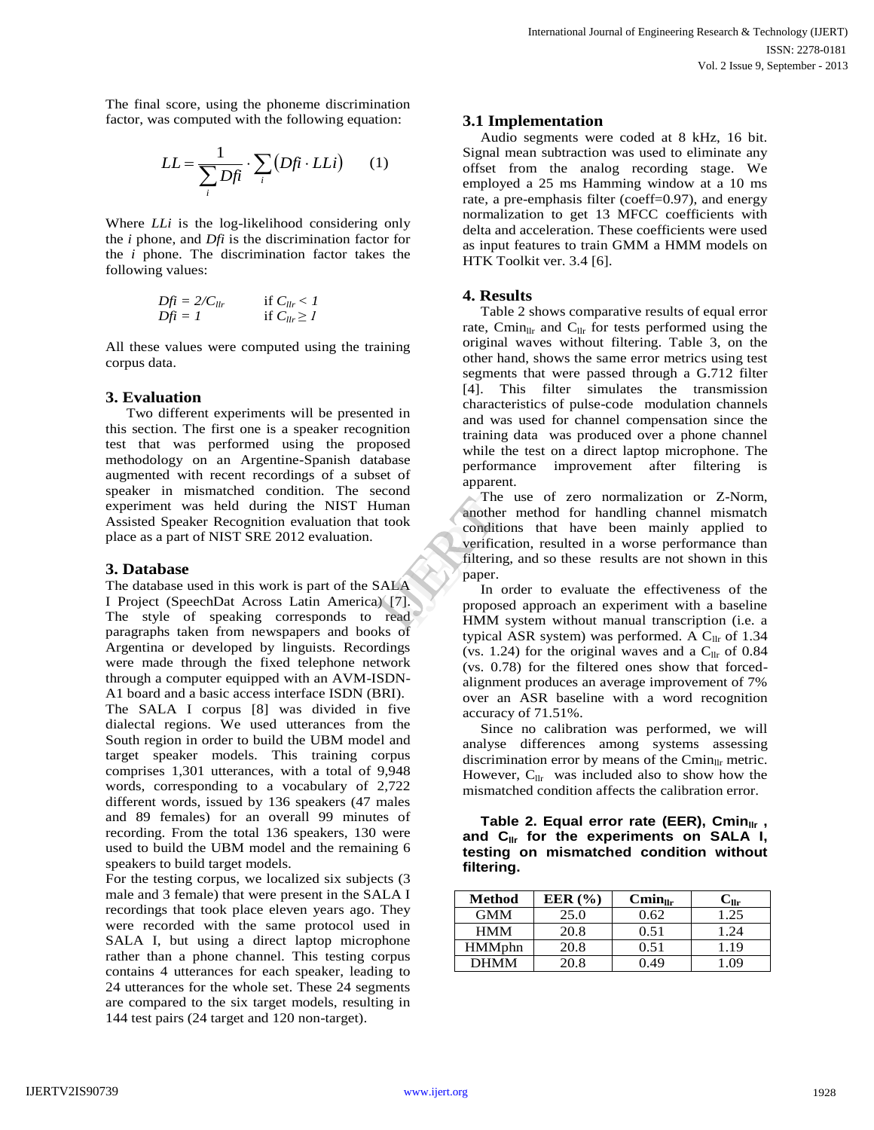The final score, using the phoneme discrimination factor, was computed with the following equation:

$$
LL = \frac{1}{\sum_{i} Df i} \cdot \sum_{i} (Df i \cdot LL i) \qquad (1)
$$

Where *LLi* is the log-likelihood considering only the *i* phone, and *Dfi* is the discrimination factor for the *i* phone. The discrimination factor takes the following values:

$$
Df\hat{i} = 2/C_{llr} \qquad \text{if } C_{llr} < 1\nDf\hat{i} = 1 \qquad \text{if } C_{llr} \ge 1
$$

All these values were computed using the training corpus data.

# **3. Evaluation**

Two different experiments will be presented in this section. The first one is a speaker recognition test that was performed using the proposed methodology on an Argentine-Spanish database augmented with recent recordings of a subset of speaker in mismatched condition. The second experiment was held during the NIST Human Assisted Speaker Recognition evaluation that took place as a part of NIST SRE 2012 evaluation.

## **3. Database**

The database used in this work is part of the SALA I Project (SpeechDat Across Latin America) [7]. The style of speaking corresponds to read paragraphs taken from newspapers and books of Argentina or developed by linguists. Recordings were made through the fixed telephone network through a computer equipped with an AVM-ISDN-A1 board and a basic access interface ISDN (BRI).

The SALA I corpus [8] was divided in five dialectal regions. We used utterances from the South region in order to build the UBM model and target speaker models. This training corpus comprises 1,301 utterances, with a total of 9,948 words, corresponding to a vocabulary of 2,722 different words, issued by 136 speakers (47 males and 89 females) for an overall 99 minutes of recording. From the total 136 speakers, 130 were used to build the UBM model and the remaining 6 speakers to build target models.

For the testing corpus, we localized six subjects (3 male and 3 female) that were present in the SALA I recordings that took place eleven years ago. They were recorded with the same protocol used in SALA I, but using a direct laptop microphone rather than a phone channel. This testing corpus contains 4 utterances for each speaker, leading to 24 utterances for the whole set. These 24 segments are compared to the six target models, resulting in 144 test pairs (24 target and 120 non-target).

# **3.1 Implementation**

Audio segments were coded at 8 kHz, 16 bit. Signal mean subtraction was used to eliminate any offset from the analog recording stage. We employed a 25 ms Hamming window at a 10 ms rate, a pre-emphasis filter (coeff=0.97), and energy normalization to get 13 MFCC coefficients with delta and acceleration. These coefficients were used as input features to train GMM a HMM models on HTK Toolkit ver. 3.4 [6].

# **4. Results**

Table 2 shows comparative results of equal error rate, Cmin<sub>llr</sub> and C<sub>llr</sub> for tests performed using the original waves without filtering. Table 3, on the other hand, shows the same error metrics using test segments that were passed through a G.712 filter [4]. This filter simulates the transmission characteristics of pulse-code modulation channels and was used for channel compensation since the training data was produced over a phone channel while the test on a direct laptop microphone. The performance improvement after filtering is apparent.

The use of zero normalization or Z-Norm, another method for handling channel mismatch conditions that have been mainly applied to verification, resulted in a worse performance than filtering, and so these results are not shown in this paper. The use of the conditions<br>
ook conditions<br>
on the conditions<br>
of the conditions<br>
of the conditions<br>
of the conditions<br>  $\begin{array}{ccc} \text{I} & \text{I} & \text{I} \\ \text{I} & \text{I} & \text{I} \\ \text{I} & \text{II} & \text{II} \\ \text{II} & \text{II} & \text{II} \\ \text{II} & \text{II} & \text{II} \\ \text{II}$ 

In order to evaluate the effectiveness of the proposed approach an experiment with a baseline HMM system without manual transcription (i.e. a typical ASR system) was performed. A  $C_{llr}$  of 1.34 (vs. 1.24) for the original waves and a  $C_{\text{llr}}$  of 0.84 (vs. 0.78) for the filtered ones show that forcedalignment produces an average improvement of 7% over an ASR baseline with a word recognition accuracy of 71.51%.

Since no calibration was performed, we will analyse differences among systems assessing discrimination error by means of the  $C_{\text{min}}$ <sub>IIr</sub> metric. However,  $C_{\text{llr}}$  was included also to show how the mismatched condition affects the calibration error.

**Table 2. Equal error rate (EER), Cmin**<sub>IIr</sub>, **and Cllr for the experiments on SALA I, testing on mismatched condition without filtering.**

| Method        | EER $(%$ | $Cmin_{\text{llr}}$ | ંllr |
|---------------|----------|---------------------|------|
| <b>GMM</b>    | 25.0     | 0.62                | 1.25 |
| <b>HMM</b>    | 20.8     | 0.51                | 1.24 |
| <b>HMMphn</b> | 20.8     | 0.51                | 1.19 |
| DHMM          | 20.8     | 0.49                | 09   |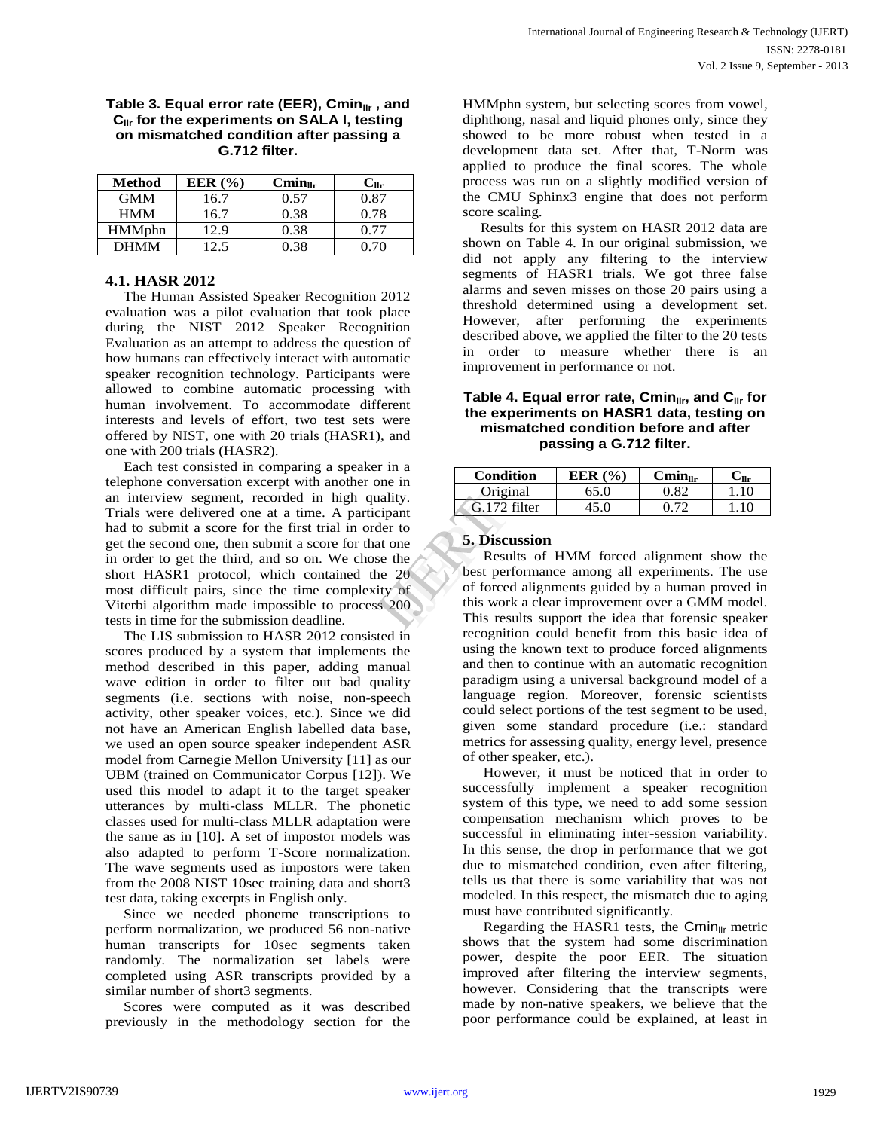#### Table 3. Equal error rate (EER), Cmin<sub>IIr</sub>, and **Cllr for the experiments on SALA I, testing on mismatched condition after passing a G.712 filter.**

| <b>Method</b> | EER $(%$ | $Cmin_{llr}$ | $\mathbf{C}_{\mathbf{H}\mathbf{r}}$ |
|---------------|----------|--------------|-------------------------------------|
| <b>GMM</b>    | 16.7     | 0.57         | 0.87                                |
| <b>HMM</b>    | 16.7     | 0.38         | 0.78                                |
| <b>HMMphn</b> | 12.9     | 0.38         | 0.77                                |
| <b>DHMM</b>   | 12.5     | 0.38         | ገ 7በ                                |

### **4.1. HASR 2012**

The Human Assisted Speaker Recognition 2012 evaluation was a pilot evaluation that took place during the NIST 2012 Speaker Recognition Evaluation as an attempt to address the question of how humans can effectively interact with automatic speaker recognition technology. Participants were allowed to combine automatic processing with human involvement. To accommodate different interests and levels of effort, two test sets were offered by NIST, one with 20 trials (HASR1), and one with 200 trials (HASR2).

Each test consisted in comparing a speaker in a telephone conversation excerpt with another one in an interview segment, recorded in high quality. Trials were delivered one at a time. A participant had to submit a score for the first trial in order to get the second one, then submit a score for that one in order to get the third, and so on. We chose the short HASR1 protocol, which contained the 20 most difficult pairs, since the time complexity of Viterbi algorithm made impossible to process 200 tests in time for the submission deadline.

The LIS submission to HASR 2012 consisted in scores produced by a system that implements the method described in this paper, adding manual wave edition in order to filter out bad quality segments (i.e. sections with noise, non-speech activity, other speaker voices, etc.). Since we did not have an American English labelled data base, we used an open source speaker independent ASR model from Carnegie Mellon University [11] as our UBM (trained on Communicator Corpus [12]). We used this model to adapt it to the target speaker utterances by multi-class MLLR. The phonetic classes used for multi-class MLLR adaptation were the same as in [10]. A set of impostor models was also adapted to perform T-Score normalization. The wave segments used as impostors were taken from the 2008 NIST 10sec training data and short3 test data, taking excerpts in English only.

Since we needed phoneme transcriptions to perform normalization, we produced 56 non-native human transcripts for 10sec segments taken randomly. The normalization set labels were completed using ASR transcripts provided by a similar number of short3 segments.

Scores were computed as it was described previously in the methodology section for the

HMMphn system, but selecting scores from vowel, diphthong, nasal and liquid phones only, since they showed to be more robust when tested in a development data set. After that, T-Norm was applied to produce the final scores. The whole process was run on a slightly modified version of the CMU Sphinx3 engine that does not perform score scaling.

Results for this system on HASR 2012 data are shown on Table 4. In our original submission, we did not apply any filtering to the interview segments of HASR1 trials. We got three false alarms and seven misses on those 20 pairs using a threshold determined using a development set. However, after performing the experiments described above, we applied the filter to the 20 tests in order to measure whether there is an improvement in performance or not.

#### **Table 4. Equal error rate, Cmin<sub>llr</sub>, and C<sub>IIr</sub> for the experiments on HASR1 data, testing on mismatched condition before and after passing a G.712 filter.**

| Condition      | EER $(% )$ | $Cmin_{u_r}$ | `∠llr ∶ |
|----------------|------------|--------------|---------|
| Original       | 65.0       | O 82         | .10     |
| $G.172$ filter |            |              | -10-    |

#### **5. Discussion**

Results of HMM forced alignment show the best performance among all experiments. The use of forced alignments guided by a human proved in this work a clear improvement over a GMM model. This results support the idea that forensic speaker recognition could benefit from this basic idea of using the known text to produce forced alignments and then to continue with an automatic recognition paradigm using a universal background model of a language region. Moreover, forensic scientists could select portions of the test segment to be used, given some standard procedure (i.e.: standard metrics for assessing quality, energy level, presence of other speaker, etc.). Exercise one<br>
the Results<br>
The S. Discuss<br>
the Results<br>
20<br>
This work a<br>
20<br>
This results<br>
This results<br>
This results

However, it must be noticed that in order to successfully implement a speaker recognition system of this type, we need to add some session compensation mechanism which proves to be successful in eliminating inter-session variability. In this sense, the drop in performance that we got due to mismatched condition, even after filtering, tells us that there is some variability that was not modeled. In this respect, the mismatch due to aging must have contributed significantly.

Regarding the HASR1 tests, the Cmin $_{\text{llr}}$  metric shows that the system had some discrimination power, despite the poor EER. The situation improved after filtering the interview segments, however. Considering that the transcripts were made by non-native speakers, we believe that the poor performance could be explained, at least in